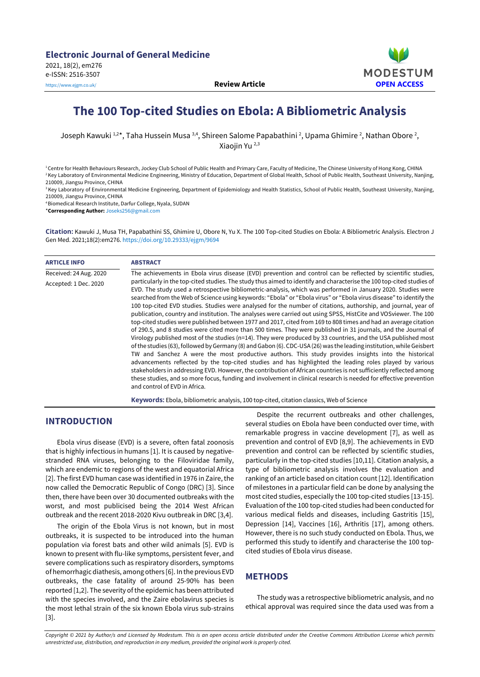

# **The 100 Top-cited Studies on Ebola: A Bibliometric Analysis**

Joseph Kawuki  $^{1,2\star}$ , Taha Hussein Musa  $^{3,4}$ , Shireen Salome Papabathini  $^2$ , Upama Ghimire  $^2$ , Nathan Obore  $^2$ , Xiaojin Yu 2,3

<sup>1</sup>Centre for Health Behaviours Research, Jockey Club School of Public Health and Primary Care, Faculty of Medicine, The Chinese University of Hong Kong, CHINA <sup>2</sup>Key Laboratory of Environmental Medicine Engineering, Ministry of Education, Department of Global Health, School of Public Health, Southeast University, Nanjing, 210009, Jiangsu Province, CHINA

<sup>3</sup> Key Laboratory of Environmental Medicine Engineering, Department of Epidemiology and Health Statistics, School of Public Health, Southeast University, Nanjing, 210009, Jiangsu Province, CHINA

4Biomedical Research Institute, Darfur College, Nyala, SUDAN

\***Corresponding Author:** [Joseks256@gmail.com](mailto:Joseks256@gmail.com)

**Citation:** Kawuki J, Musa TH, Papabathini SS, Ghimire U, Obore N, Yu X. The 100 Top-cited Studies on Ebola: A Bibliometric Analysis. Electron J Gen Med. 2021;18(2):em276. <https://doi.org/10.29333/ejgm/9694>

| <b>ARTICLE INFO</b>    | <b>ABSTRACT</b>                                                                                                                                                                                                                                                                                                                                                                                                                                                                                                                                                                                                                                                                                                                                                                                                                                                                                                                                                                                                                                                                                                                                                                                                                                                                                                                                                                                                                                                                                                                                                              |
|------------------------|------------------------------------------------------------------------------------------------------------------------------------------------------------------------------------------------------------------------------------------------------------------------------------------------------------------------------------------------------------------------------------------------------------------------------------------------------------------------------------------------------------------------------------------------------------------------------------------------------------------------------------------------------------------------------------------------------------------------------------------------------------------------------------------------------------------------------------------------------------------------------------------------------------------------------------------------------------------------------------------------------------------------------------------------------------------------------------------------------------------------------------------------------------------------------------------------------------------------------------------------------------------------------------------------------------------------------------------------------------------------------------------------------------------------------------------------------------------------------------------------------------------------------------------------------------------------------|
| Received: 24 Aug. 2020 | The achievements in Ebola virus disease (EVD) prevention and control can be reflected by scientific studies,                                                                                                                                                                                                                                                                                                                                                                                                                                                                                                                                                                                                                                                                                                                                                                                                                                                                                                                                                                                                                                                                                                                                                                                                                                                                                                                                                                                                                                                                 |
| Accepted: 1 Dec. 2020  | particularly in the top-cited studies. The study thus aimed to identify and characterise the 100 top-cited studies of<br>EVD. The study used a retrospective bibliometric-analysis, which was performed in January 2020. Studies were<br>searched from the Web of Science using keywords: "Ebola" or "Ebola virus" or "Ebola virus disease" to identify the<br>100 top-cited EVD studies. Studies were analysed for the number of citations, authorship, and journal, year of<br>publication, country and institution. The analyses were carried out using SPSS, HistCite and VOSviewer. The 100<br>top-cited studies were published between 1977 and 2017, cited from 169 to 808 times and had an average citation<br>of 290.5, and 8 studies were cited more than 500 times. They were published in 31 journals, and the Journal of<br>Virology published most of the studies (n=14). They were produced by 33 countries, and the USA published most<br>of the studies (63), followed by Germany (8) and Gabon (6). CDC-USA (26) was the leading institution, while Geisbert<br>TW and Sanchez A were the most productive authors. This study provides insights into the historical<br>advancements reflected by the top-cited studies and has highlighted the leading roles played by various<br>stakeholders in addressing EVD. However, the contribution of African countries is not sufficiently reflected among<br>these studies, and so more focus, funding and involvement in clinical research is needed for effective prevention<br>and control of EVD in Africa. |

**Keywords:** Ebola, bibliometric analysis, 100 top-cited, citation classics, Web of Science

### **INTRODUCTION**

Ebola virus disease (EVD) is a severe, often fatal zoonosis that is highly infectious in humans [1]. It is caused by negativestranded RNA viruses, belonging to the Filoviridae family, which are endemic to regions of the west and equatorial Africa [2]. The first EVD human case was identified in 1976 in Zaire, the now called the Democratic Republic of Congo (DRC) [3]. Since then, there have been over 30 documented outbreaks with the worst, and most publicised being the 2014 West African outbreak and the recent 2018-2020 Kivu outbreak in DRC [3,4].

The origin of the Ebola Virus is not known, but in most outbreaks, it is suspected to be introduced into the human population via forest bats and other wild animals [5]. EVD is known to present with flu-like symptoms, persistent fever, and severe complications such as respiratory disorders, symptoms of hemorrhagic diathesis, among others [6]. In the previous EVD outbreaks, the case fatality of around 25-90% has been reported [1,2]. The severity of the epidemic has been attributed with the species involved, and the Zaire ebolavirus species is the most lethal strain of the six known Ebola virus sub-strains [3].

Despite the recurrent outbreaks and other challenges, several studies on Ebola have been conducted over time, with remarkable progress in vaccine development [7], as well as prevention and control of EVD [8,9]. The achievements in EVD prevention and control can be reflected by scientific studies, particularly in the top-cited studies [10,11]. Citation analysis, a type of bibliometric analysis involves the evaluation and ranking of an article based on citation count [12]. Identification of milestones in a particular field can be done by analysing the most cited studies, especially the 100 top-cited studies [13-15]. Evaluation of the 100 top-cited studies had been conducted for various medical fields and diseases, including Gastritis [15], Depression [14], Vaccines [16], Arthritis [17], among others. However, there is no such study conducted on Ebola. Thus, we performed this study to identify and characterise the 100 topcited studies of Ebola virus disease.

### **METHODS**

The study was a retrospective bibliometric analysis, and no ethical approval was required since the data used was from a

Copyright © 2021 by Author/s and Licensed by Modestum. This is an open access article distributed under the Creative Commons Attribution License which permits *unrestricted use, distribution, and reproduction in any medium, provided the original work is properly cited.*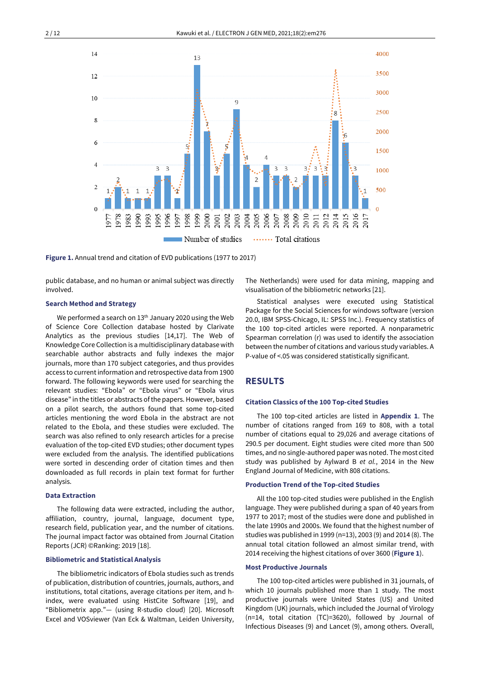

**Figure 1.** Annual trend and citation of EVD publications (1977 to 2017)

public database, and no human or animal subject was directly involved.

#### **Search Method and Strategy**

We performed a search on 13<sup>th</sup> January 2020 using the Web of Science Core Collection database hosted by Clarivate Analytics as the previous studies [14,17]. The Web of Knowledge Core Collection is a multidisciplinary database with searchable author abstracts and fully indexes the major journals, more than 170 subject categories, and thus provides access to current information and retrospective data from 1900 forward. The following keywords were used for searching the relevant studies: "Ebola" or "Ebola virus" or "Ebola virus disease" in the titles or abstracts ofthe papers. However, based on a pilot search, the authors found that some top-cited articles mentioning the word Ebola in the abstract are not related to the Ebola, and these studies were excluded. The search was also refined to only research articles for a precise evaluation of the top-cited EVD studies; other document types were excluded from the analysis. The identified publications were sorted in descending order of citation times and then downloaded as full records in plain text format for further analysis.

#### **Data Extraction**

The following data were extracted, including the author, affiliation, country, journal, language, document type, research field, publication year, and the number of citations. The journal impact factor was obtained from Journal Citation Reports (JCR) ©Ranking: 2019 [18].

#### **Bibliometric and Statistical Analysis**

The bibliometric indicators of Ebola studies such as trends of publication, distribution of countries, journals, authors, and institutions, total citations, average citations per item, and hindex, were evaluated using HistCite Software [19], and "Bibliometrix app."— (using R-studio cloud) [20]. Microsoft Excel and VOSviewer (Van Eck & Waltman, Leiden University, The Netherlands) were used for data mining, mapping and visualisation of the bibliometric networks [21].

Statistical analyses were executed using Statistical Package for the Social Sciences for windows software (version 20.0, IBM SPSS-Chicago, IL: SPSS Inc.). Frequency statistics of the 100 top-cited articles were reported. A nonparametric Spearman correlation (r) was used to identify the association between the number of citations and various study variables. A P-value of <.05 was considered statistically significant.

### **RESULTS**

#### **Citation Classics of the 100 Top-cited Studies**

The 100 top-cited articles are listed in **Appendix 1**. The number of citations ranged from 169 to 808, with a total number of citations equal to 29,026 and average citations of 290.5 per document. Eight studies were cited more than 500 times, and no single-authored paper was noted. The most cited study was published by Aylward B *et al.*, 2014 in the New England Journal of Medicine, with 808 citations.

#### **Production Trend of the Top-cited Studies**

All the 100 top-cited studies were published in the English language. They were published during a span of 40 years from 1977 to 2017; most of the studies were done and published in the late 1990s and 2000s. We found that the highest number of studies was published in 1999 (n=13), 2003 (9) and 2014 (8). The annual total citation followed an almost similar trend, with 2014 receiving the highest citations of over 3600 (**Figure 1**).

#### **Most Productive Journals**

The 100 top-cited articles were published in 31 journals, of which 10 journals published more than 1 study. The most productive journals were United States (US) and United Kingdom (UK) journals, which included the Journal of Virology (n=14, total citation (TC)=3620), followed by Journal of Infectious Diseases (9) and Lancet (9), among others. Overall,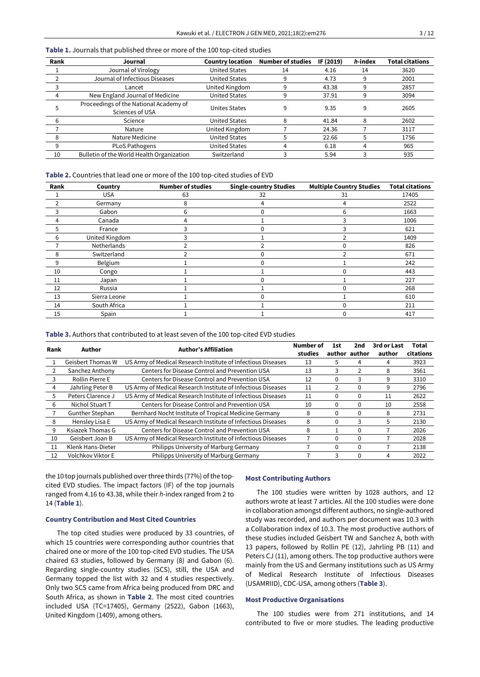#### **Table 1.** Journals that published three or more of the 100 top-cited studies

| Rank | Journal                                                   | <b>Country location</b> | <b>Number of studies</b> | IF (2019) | h-index | <b>Total citations</b> |
|------|-----------------------------------------------------------|-------------------------|--------------------------|-----------|---------|------------------------|
|      | Journal of Virology                                       | <b>United States</b>    | 14                       | 4.16      | 14      | 3620                   |
|      | Journal of Infectious Diseases                            | <b>United States</b>    | 9                        | 4.73      |         | 2001                   |
|      | Lancet                                                    | United Kingdom          | 9                        | 43.38     |         | 2857                   |
|      | New England Journal of Medicine                           | <b>United States</b>    | 9                        | 37.91     | q       | 3094                   |
| э    | Proceedings of the National Academy of<br>Sciences of USA | <b>Unites States</b>    | 9                        | 9.35      | 9       | 2605                   |
|      | Science                                                   | <b>United States</b>    |                          | 41.84     |         | 2602                   |
|      | Nature                                                    | United Kingdom          |                          | 24.36     |         | 3117                   |
| 8    | Nature Medicine                                           | <b>United States</b>    |                          | 22.66     |         | 1756                   |
| 9    | PLoS Pathogens                                            | <b>United States</b>    | 4                        | 6.18      | 4       | 965                    |
| 10   | Bulletin of the World Health Organization                 | Switzerland             |                          | 5.94      |         | 935                    |

**Table 2.** Countries that lead one or more of the 100 top-cited studies of EVD

| Rank | Country        | <b>Number of studies</b> | <b>Single-country Studies</b> | <b>Multiple Country Studies</b> | <b>Total citations</b> |
|------|----------------|--------------------------|-------------------------------|---------------------------------|------------------------|
|      | <b>USA</b>     | 63                       | 32                            | 31                              | 17405                  |
|      | Germany        | 8                        |                               | 4                               | 2522                   |
|      | Gabon          | 6                        |                               | 6                               | 1663                   |
| 4    | Canada         |                          |                               |                                 | 1006                   |
|      | France         |                          |                               |                                 | 621                    |
| 6    | United Kingdom |                          |                               |                                 | 1409                   |
|      | Netherlands    |                          |                               |                                 | 826                    |
| 8    | Switzerland    |                          |                               |                                 | 671                    |
| 9    | Belgium        |                          |                               |                                 | 242                    |
| 10   | Congo          |                          |                               | 0                               | 443                    |
| 11   | Japan          |                          |                               |                                 | 227                    |
| 12   | Russia         |                          |                               | 0                               | 268                    |
| 13   | Sierra Leone   |                          |                               |                                 | 610                    |
| 14   | South Africa   |                          |                               |                                 | 211                    |
| 15   | Spain          |                          |                               | 0                               | 417                    |

| Table 3. Authors that contributed to at least seven of the 100 top-cited EVD studies |  |  |
|--------------------------------------------------------------------------------------|--|--|
|--------------------------------------------------------------------------------------|--|--|

| Rank | Author                   | <b>Author's Affiliation</b>                                  | Number of<br>studies | 1st | 2nd<br>author author | 3rd or Last<br>author | Total<br>citations |
|------|--------------------------|--------------------------------------------------------------|----------------------|-----|----------------------|-----------------------|--------------------|
|      | <b>Geisbert Thomas W</b> | US Army of Medical Research Institute of Infectious Diseases | 13                   | 5   | 4                    | 4                     | 3923               |
|      | Sanchez Anthony          | Centers for Disease Control and Prevention USA               | 13                   | 3   |                      | 8                     | 3561               |
| 3    | Rollin Pierre E          | Centers for Disease Control and Prevention USA               | 12                   | 0   | 3                    | 9                     | 3310               |
| 4    | Jahrling Peter B         | US Army of Medical Research Institute of Infectious Diseases | 11                   |     | 0                    | 9                     | 2796               |
| -5   | Peters Clarence J        | US Army of Medical Research Institute of Infectious Diseases | 11                   | 0   | $\Omega$             | 11                    | 2622               |
| 6    | Nichol Stuart T          | Centers for Disease Control and Prevention USA               | 10                   | 0   | 0                    | 10                    | 2558               |
|      | Gunther Stephan          | Bernhard Nocht Institute of Tropical Medicine Germany        | 8                    | 0   | $\Omega$             | 8                     | 2731               |
| -8   | Hensley Lisa E           | US Army of Medical Research Institute of Infectious Diseases | 8                    | 0   | 3                    | 5                     | 2130               |
| 9    | Ksiazek Thomas G         | Centers for Disease Control and Prevention USA               | 8                    |     | $\Omega$             |                       | 2026               |
| 10   | Geisbert Joan B          | US Army of Medical Research Institute of Infectious Diseases |                      | 0   | $\Omega$             |                       | 2028               |
| 11   | Klenk Hans-Dieter        | Philipps University of Marburg Germany                       |                      | 0   | $\Omega$             |                       | 2138               |
| 12   | Volchkov Viktor E        | Philipps University of Marburg Germany                       |                      | 3   | $\Omega$             | 4                     | 2022               |

the 10 top journals published over three thirds (77%) of the topcited EVD studies. The impact factors (IF) of the top journals ranged from 4.16 to 43.38, while their *h*-index ranged from 2 to 14 (**Table 1**).

#### **Country Contribution and Most Cited Countries**

The top cited studies were produced by 33 countries, of which 15 countries were corresponding author countries that chaired one or more of the 100 top-cited EVD studies. The USA chaired 63 studies, followed by Germany (8) and Gabon (6). Regarding single-country studies (SCS), still, the USA and Germany topped the list with 32 and 4 studies respectively. Only two SCS came from Africa being produced from DRC and South Africa, as shown in **Table 2**. The most cited countries included USA (TC=17405), Germany (2522), Gabon (1663), United Kingdom (1409), among others.

#### **Most Contributing Authors**

The 100 studies were written by 1028 authors, and 12 authors wrote at least 7 articles. All the 100 studies were done in collaboration amongst different authors, no single-authored study was recorded, and authors per document was 10.3 with a Collaboration index of 10.3. The most productive authors of these studies included Geisbert TW and Sanchez A, both with 13 papers, followed by Rollin PE (12), Jahrling PB (11) and Peters CJ (11), among others. The top productive authors were mainly from the US and Germany institutions such as US Army of Medical Research Institute of Infectious Diseases (USAMRIID), CDC-USA, among others (**Table 3**).

#### **Most Productive Organisations**

The 100 studies were from 271 institutions, and 14 contributed to five or more studies. The leading productive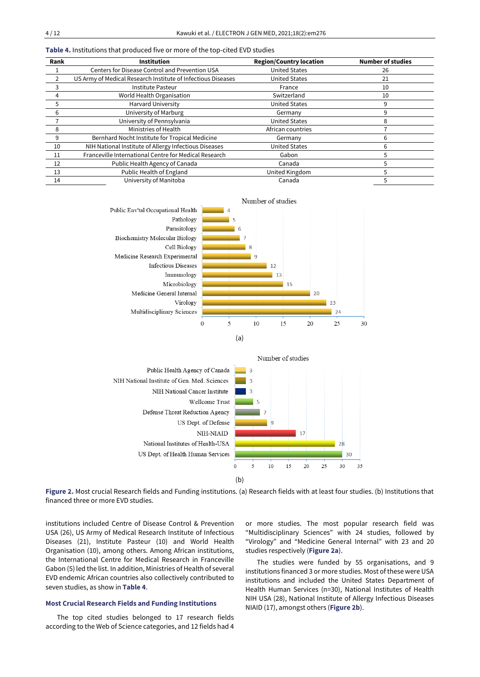| Rank | <b>Institution</b>                                           | <b>Region/Country location</b> | <b>Number of studies</b> |
|------|--------------------------------------------------------------|--------------------------------|--------------------------|
|      | Centers for Disease Control and Prevention USA               | <b>United States</b>           | 26                       |
|      | US Army of Medical Research Institute of Infectious Diseases | <b>United States</b>           | 21                       |
|      | <b>Institute Pasteur</b>                                     | France                         | 10                       |
| 4    | World Health Organisation                                    | Switzerland                    | 10                       |
| 5    | Harvard University                                           | <b>United States</b>           | 9                        |
| 6    | University of Marburg                                        | Germany                        | 9                        |
|      | University of Pennsylvania                                   | <b>United States</b>           | 8                        |
| 8    | Ministries of Health                                         | African countries              |                          |
| 9    | Bernhard Nocht Institute for Tropical Medicine               | Germany                        | 6                        |
| 10   | NIH National Institute of Allergy Infectious Diseases        | <b>United States</b>           |                          |
| 11   | Franceville International Centre for Medical Research        | Gabon                          |                          |
| 12   | Public Health Agency of Canada                               | Canada                         |                          |
| 13   | Public Health of England                                     | United Kingdom                 |                          |
| 14   | University of Manitoba                                       | Canada                         |                          |

**Table 4.** Institutions that produced five or more of the top-cited EVD studies



Number of studies

(b) **Figure 2.** Most crucial Research fields and Funding institutions. (a) Research fields with at least four studies. (b) Institutions that financed three or more EVD studies.

institutions included Centre of Disease Control & Prevention USA (26), US Army of Medical Research Institute of Infectious Diseases (21), Institute Pasteur (10) and World Health Organisation (10), among others. Among African institutions, the International Centre for Medical Research in Franceville Gabon (5) led the list. In addition, Ministries of Health of several EVD endemic African countries also collectively contributed to seven studies, as show in **Table 4**.

#### **Most Crucial Research Fields and Funding Institutions**

The top cited studies belonged to 17 research fields according to the Web of Science categories, and 12 fields had 4 or more studies. The most popular research field was "Multidisciplinary Sciences" with 24 studies, followed by "Virology" and "Medicine General Internal" with 23 and 20 studies respectively (**Figure 2a**).

The studies were funded by 55 organisations, and 9 institutions financed 3 or more studies. Most of these were USA institutions and included the United States Department of Health Human Services (n=30), National Institutes of Health NIH USA (28), National Institute of Allergy Infectious Diseases NIAID (17), amongst others (**Figure 2b**).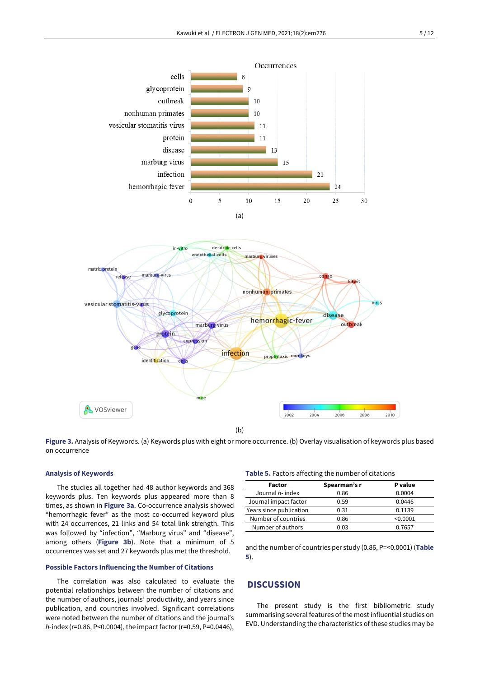

(b)

**Figure 3.** Analysis of Keywords. (a) Keywords plus with eight or more occurrence. (b) Overlay visualisation of keywords plus based on occurrence

#### **Analysis of Keywords**

The studies all together had 48 author keywords and 368 keywords plus. Ten keywords plus appeared more than 8 times, as shown in **Figure 3a**. Co-occurrence analysis showed "hemorrhagic fever" as the most co-occurred keyword plus with 24 occurrences, 21 links and 54 total link strength. This was followed by "infection", "Marburg virus" and "disease", among others (**Figure 3b**). Note that a minimum of 5 occurrences was set and 27 keywords plus met the threshold.

### **Possible Factors Influencing the Number of Citations**

The correlation was also calculated to evaluate the potential relationships between the number of citations and the number of authors, journals' productivity, and years since publication, and countries involved. Significant correlations were noted between the number of citations and the journal's *h*-index (r=0.86, P<0.0004), the impact factor (r=0.59, P=0.0446),

#### **Table 5.** Factors affecting the number of citations

| Factor                  | Spearman's r | P value  |
|-------------------------|--------------|----------|
| Journal h- index        | 0.86         | 0.0004   |
| Journal impact factor   | 0.59         | 0.0446   |
| Years since publication | 0.31         | 0.1139   |
| Number of countries     | 0.86         | < 0.0001 |
| Number of authors       | 0.03         | 0.7657   |

and the number of countries per study (0.86, P=<0.0001) (**Table 5**).

### **DISCUSSION**

The present study is the first bibliometric study summarising several features of the most influential studies on EVD. Understanding the characteristics of these studies may be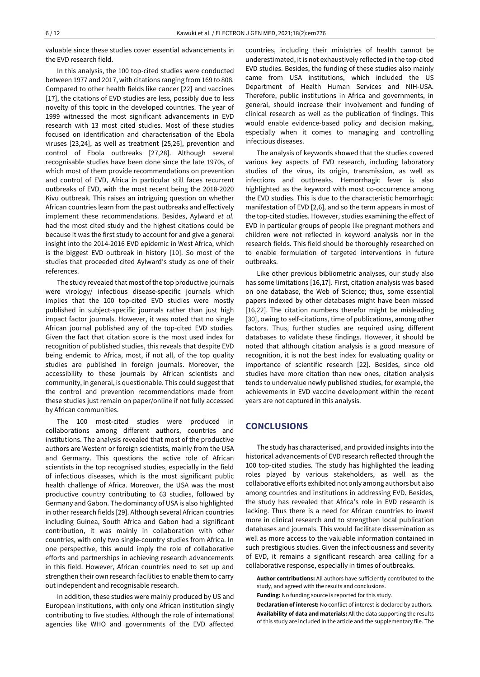valuable since these studies cover essential advancements in the EVD research field.

In this analysis, the 100 top-cited studies were conducted between 1977 and 2017, with citations ranging from 169 to 808. Compared to other health fields like cancer [22] and vaccines [17], the citations of EVD studies are less, possibly due to less novelty of this topic in the developed countries. The year of 1999 witnessed the most significant advancements in EVD research with 13 most cited studies. Most of these studies focused on identification and characterisation of the Ebola viruses [23,24], as well as treatment [25,26], prevention and control of Ebola outbreaks [27,28]. Although several recognisable studies have been done since the late 1970s, of which most of them provide recommendations on prevention and control of EVD, Africa in particular still faces recurrent outbreaks of EVD, with the most recent being the 2018-2020 Kivu outbreak. This raises an intriguing question on whether African countries learn from the past outbreaks and effectively implement these recommendations. Besides, Aylward *et al.* had the most cited study and the highest citations could be because it was the first study to account for and give a general insight into the 2014-2016 EVD epidemic in West Africa, which is the biggest EVD outbreak in history [10]. So most of the studies that proceeded cited Aylward's study as one of their references.

The study revealed that most of the top productive journals were virology/ infectious disease-specific journals which implies that the 100 top-cited EVD studies were mostly published in subject-specific journals rather than just high impact factor journals. However, it was noted that no single African journal published any of the top-cited EVD studies. Given the fact that citation score is the most used index for recognition of published studies, this reveals that despite EVD being endemic to Africa, most, if not all, of the top quality studies are published in foreign journals. Moreover, the accessibility to these journals by African scientists and community, in general, is questionable. This could suggest that the control and prevention recommendations made from these studies just remain on paper/online if not fully accessed by African communities.

The 100 most-cited studies were produced in collaborations among different authors, countries and institutions. The analysis revealed that most of the productive authors are Western or foreign scientists, mainly from the USA and Germany. This questions the active role of African scientists in the top recognised studies, especially in the field of infectious diseases, which is the most significant public health challenge of Africa. Moreover, the USA was the most productive country contributing to 63 studies, followed by Germany and Gabon. The dominancy of USA is also highlighted in other research fields [29]. Although several African countries including Guinea, South Africa and Gabon had a significant contribution, it was mainly in collaboration with other countries, with only two single-country studies from Africa. In one perspective, this would imply the role of collaborative efforts and partnerships in achieving research advancements in this field. However, African countries need to set up and strengthen their own research facilities to enable them to carry out independent and recognisable research.

In addition, these studies were mainly produced by US and European institutions, with only one African institution singly contributing to five studies. Although the role of international agencies like WHO and governments of the EVD affected countries, including their ministries of health cannot be underestimated, it is not exhaustively reflected in the top-cited EVD studies. Besides, the funding of these studies also mainly came from USA institutions, which included the US Department of Health Human Services and NIH-USA. Therefore, public institutions in Africa and governments, in general, should increase their involvement and funding of clinical research as well as the publication of findings. This would enable evidence-based policy and decision making, especially when it comes to managing and controlling infectious diseases.

The analysis of keywords showed that the studies covered various key aspects of EVD research, including laboratory studies of the virus, its origin, transmission, as well as infections and outbreaks. Hemorrhagic fever is also highlighted as the keyword with most co-occurrence among the EVD studies. This is due to the characteristic hemorrhagic manifestation of EVD [2,6], and so the term appears in most of the top-cited studies. However, studies examining the effect of EVD in particular groups of people like pregnant mothers and children were not reflected in keyword analysis nor in the research fields. This field should be thoroughly researched on to enable formulation of targeted interventions in future outbreaks.

Like other previous bibliometric analyses, our study also has some limitations [16,17]. First, citation analysis was based on one database, the Web of Science; thus, some essential papers indexed by other databases might have been missed [16,22]. The citation numbers therefor might be misleading [30], owing to self-citations, time of publications, among other factors. Thus, further studies are required using different databases to validate these findings. However, it should be noted that although citation analysis is a good measure of recognition, it is not the best index for evaluating quality or importance of scientific research [22]. Besides, since old studies have more citation than new ones, citation analysis tends to undervalue newly published studies, for example, the achievements in EVD vaccine development within the recent years are not captured in this analysis.

### **CONCLUSIONS**

The study has characterised, and provided insights into the historical advancements of EVD research reflected through the 100 top-cited studies. The study has highlighted the leading roles played by various stakeholders, as well as the collaborative efforts exhibited not only among authors but also among countries and institutions in addressing EVD. Besides, the study has revealed that Africa's role in EVD research is lacking. Thus there is a need for African countries to invest more in clinical research and to strengthen local publication databases and journals. This would facilitate dissemination as well as more access to the valuable information contained in such prestigious studies. Given the infectiousness and severity of EVD, it remains a significant research area calling for a collaborative response, especially in times of outbreaks.

**Author contributions:** All authors have sufficiently contributed to the study, and agreed with the results and conclusions.

**Funding:** No funding source is reported for this study.

**Declaration of interest:** No conflict of interest is declared by authors. **Availability of data and materials:** All the data supporting the results of this study are included in the article and the supplementary file. The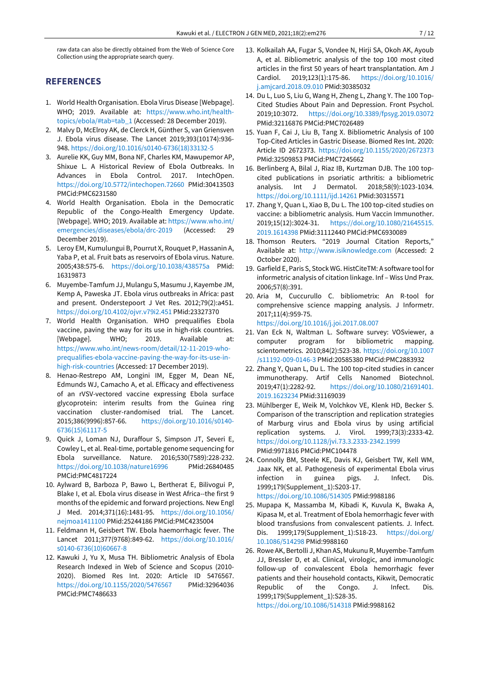raw data can also be directly obtained from the Web of Science Core Collection using the appropriate search query.

### **REFERENCES**

- 1. World Health Organisation. Ebola Virus Disease [Webpage]. WHO; 2019. Available at: [https://www.who.int/health](https://www.who.int/health-topics/ebola/#tab=tab_1)[topics/ebola/#tab=tab\\_1](https://www.who.int/health-topics/ebola/#tab=tab_1) (Accessed: 28 December 2019).
- 2. Malvy D, McElroy AK, de Clerck H, Günther S, van Griensven J. Ebola virus disease. The Lancet 2019;393(10174):936- 948. [https://doi.org/10.1016/s0140-6736\(18\)33132-5](https://doi.org/10.1016/s0140-6736(18)33132-5)
- 3. Aurelie KK, Guy MM, Bona NF, Charles KM, Mawupemor AP, Shixue L. A Historical Review of Ebola Outbreaks. In Advances in Ebola Control. 2017. IntechOpen. <https://doi.org/10.5772/intechopen.72660> PMid:30413503 PMCid:PMC6231580
- 4. World Health Organisation. Ebola in the Democratic Republic of the Congo-Health Emergency Update. [Webpage]. WHO; 2019. Available at: [https://www.who.int/](https://www.who.int/emergencies/diseases/ebola/drc-2019) [emergencies/diseases/ebola/drc-2019](https://www.who.int/emergencies/diseases/ebola/drc-2019) (Accessed: 29 December 2019).
- 5. Leroy EM, Kumulungui B, Pourrut X, Rouquet P, Hassanin A, Yaba P, et al. Fruit bats as reservoirs of Ebola virus. Nature. 2005;438:575-6. <https://doi.org/10.1038/438575a> PMid: 16319873
- 6. Muyembe-Tamfum JJ, Mulangu S, Masumu J, Kayembe JM, Kemp A, Paweska JT. Ebola virus outbreaks in Africa: past and present. Onderstepoort J Vet Res. 2012;79(2):a451. <https://doi.org/10.4102/ojvr.v79i2.451> PMid:23327370
- 7. World Health Organisation. WHO prequalifies Ebola vaccine, paving the way for its use in high-risk countries. [Webpage]. WHO; 2019. Available at: [https://www.who.int/news-room/detail/12-11-2019-who](https://www.who.int/news-room/detail/12-11-2019-who-prequalifies-ebola-vaccine-paving-the-way-for-its-use-in-high-risk-countries)[prequalifies-ebola-vaccine-paving-the-way-for-its-use-in](https://www.who.int/news-room/detail/12-11-2019-who-prequalifies-ebola-vaccine-paving-the-way-for-its-use-in-high-risk-countries)[high-risk-countries](https://www.who.int/news-room/detail/12-11-2019-who-prequalifies-ebola-vaccine-paving-the-way-for-its-use-in-high-risk-countries) (Accessed: 17 December 2019).
- 8. Henao-Restrepo AM, Longini IM, Egger M, Dean NE, Edmunds WJ, Camacho A, et al. Efficacy and effectiveness of an rVSV-vectored vaccine expressing Ebola surface glycoprotein: interim results from the Guinea ring vaccination cluster-randomised trial. The Lancet. 2015;386(9996):857-66. [https://doi.org/10.1016/s0140-](https://doi.org/10.1016/s0140-6736(15)61117-5) [6736\(15\)61117-5](https://doi.org/10.1016/s0140-6736(15)61117-5)
- 9. Quick J, Loman NJ, Duraffour S, Simpson JT, Severi E, Cowley L, et al. Real-time, portable genome sequencing for Ebola surveillance. Nature. 2016;530(7589):228-232. <https://doi.org/10.1038/nature16996> PMid:26840485 PMCid:PMC4817224
- 10. Aylward B, Barboza P, Bawo L, Bertherat E, Bilivogui P, Blake I, et al. Ebola virus disease in West Africa--the first 9 months of the epidemic and forward projections. New Engl J Med. 2014;371(16):1481-95. [https://doi.org/10.1056/](https://doi.org/10.1056/nejmoa1411100) [nejmoa1411100](https://doi.org/10.1056/nejmoa1411100) PMid:25244186 PMCid:PMC4235004
- 11. Feldmann H, Geisbert TW. Ebola haemorrhagic fever. The Lancet 2011;377(9768):849-62. [https://doi.org/10.1016/](https://doi.org/10.1016/s0140-6736(10)60667-8) [s0140-6736\(10\)60667-8](https://doi.org/10.1016/s0140-6736(10)60667-8)
- 12. Kawuki J, Yu X, Musa TH. Bibliometric Analysis of Ebola Research Indexed in Web of Science and Scopus (2010- 2020). Biomed Res Int. 2020: Article ID 5476567. <https://doi.org/10.1155/2020/5476567> PMid:32964036 PMCid:PMC7486633
- 13. Kolkailah AA, Fugar S, Vondee N, Hirji SA, Okoh AK, Ayoub A, et al. Bibliometric analysis of the top 100 most cited articles in the first 50 years of heart transplantation. Am J Cardiol. 2019;123(1):175-86. [https://doi.org/10.1016/](https://doi.org/10.1016/j.amjcard.2018.09.010) [j.amjcard.2018.09.010](https://doi.org/10.1016/j.amjcard.2018.09.010) PMid:30385032
- 14. Du L, Luo S, Liu G, Wang H, Zheng L, Zhang Y. The 100 Top-Cited Studies About Pain and Depression. Front Psychol. 2019;10:3072. <https://doi.org/10.3389/fpsyg.2019.03072> PMid:32116876 PMCid:PMC7026489
- 15. Yuan F, Cai J, Liu B, Tang X. Bibliometric Analysis of 100 Top-Cited Articles in Gastric Disease. Biomed Res Int. 2020: Article ID 2672373. <https://doi.org/10.1155/2020/2672373> PMid:32509853 PMCid:PMC7245662
- 16. Berlinberg A, Bilal J, Riaz IB, Kurtzman DJB. The 100 topcited publications in psoriatic arthritis: a bibliometric analysis. Int J Dermatol. 2018;58(9):1023-1034. <https://doi.org/10.1111/ijd.14261> PMid:30315571
- 17. Zhang Y, Quan L, Xiao B, Du L. The 100 top-cited studies on vaccine: a bibliometric analysis. Hum Vaccin Immunother. 2019;15(12):3024-31. [https://doi.org/10.1080/21645515.](https://doi.org/10.1080/21645515.2019.1614398) [2019.1614398](https://doi.org/10.1080/21645515.2019.1614398) PMid:31112440 PMCid:PMC6930089
- 18. Thomson Reuters. "2019 Journal Citation Reports," Available at: [http://www.isiknowledge.com](http://www.isiknowledge.com/) (Accessed: 2 October 2020).
- 19. Garfield E, Paris S, Stock WG. HistCiteTM: A software tool for informetric analysis of citation linkage. Inf – Wiss Und Prax. 2006;57(8):391.
- 20. Aria M, Cuccurullo C. bibliometrix: An R-tool for comprehensive science mapping analysis. J Informetr. 2017;11(4):959-75. <https://doi.org/10.1016/j.joi.2017.08.007>
- 21. Van Eck N, Waltman L. Software survey: VOSviewer, a computer program for bibliometric mapping. scientometrics. 2010;84(2):523-38. [https://doi.org/10.1007](https://doi.org/10.1007/s11192-009-0146-3) [/s11192-009-0146-3](https://doi.org/10.1007/s11192-009-0146-3) PMid:20585380 PMCid:PMC2883932
- 22. Zhang Y, Quan L, Du L. The 100 top-cited studies in cancer immunotherapy. Artif Cells Nanomed Biotechnol. 2019;47(1):2282-92. [https://doi.org/10.1080/21691401.](https://doi.org/10.1080/21691401.2019.1623234) [2019.1623234](https://doi.org/10.1080/21691401.2019.1623234) PMid:31169039
- 23. Mühlberger E, Weik M, Volchkov VE, Klenk HD, Becker S. Comparison of the transcription and replication strategies of Marburg virus and Ebola virus by using artificial replication systems. J. Virol. 1999;73(3):2333-42. <https://doi.org/10.1128/jvi.73.3.2333-2342.1999> PMid:9971816 PMCid:PMC104478
- 24. Connolly BM, Steele KE, Davis KJ, Geisbert TW, Kell WM, Jaax NK, et al. Pathogenesis of experimental Ebola virus infection in guinea pigs. J. Infect. Dis. 1999;179(Supplement\_1):S203-17. <https://doi.org/10.1086/514305> PMid:9988186
- 25. Mupapa K, Massamba M, Kibadi K, Kuvula K, Bwaka A, Kipasa M, et al. Treatment of Ebola hemorrhagic fever with blood transfusions from convalescent patients. J. Infect. Dis. 1999;179(Supplement\_1):S18-23. [https://doi.org/](https://doi.org/10.1086/514298) [10.1086/514298](https://doi.org/10.1086/514298) PMid:9988160
- 26. Rowe AK, Bertolli J, Khan AS, Mukunu R, Muyembe-Tamfum JJ, Bressler D, et al. Clinical, virologic, and immunologic follow-up of convalescent Ebola hemorrhagic fever patients and their household contacts, Kikwit, Democratic Republic of the Congo. J. Infect. Dis. 1999;179(Supplement\_1):S28-35.

<https://doi.org/10.1086/514318> PMid:9988162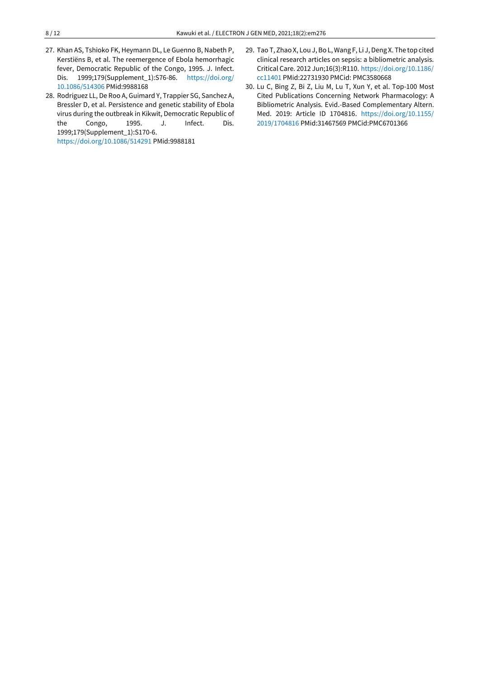- 27. Khan AS, Tshioko FK, Heymann DL, Le Guenno B, Nabeth P, Kerstiëns B, et al. The reemergence of Ebola hemorrhagic fever, Democratic Republic of the Congo, 1995. J. Infect. Dis. 1999;179(Supplement\_1):S76-86. [https://doi.org/](https://doi.org/10.1086/514306) [10.1086/514306](https://doi.org/10.1086/514306) PMid:9988168
- 28. Rodriguez LL, De Roo A, Guimard Y, Trappier SG, Sanchez A, Bressler D, et al. Persistence and genetic stability of Ebola virus during the outbreak in Kikwit, Democratic Republic of the Congo, 1995. J. Infect. Dis. 1999;179(Supplement\_1):S170-6. <https://doi.org/10.1086/514291> PMid:9988181
- 29. Tao T, Zhao X, Lou J, Bo L, Wang F, Li J, Deng X. The top cited clinical research articles on sepsis: a bibliometric analysis. Critical Care. 2012 Jun;16(3):R110. [https://doi.org/10.1186/](https://doi.org/10.1186/cc11401) [cc11401](https://doi.org/10.1186/cc11401) PMid:22731930 PMCid: PMC3580668
- 30. Lu C, Bing Z, Bi Z, Liu M, Lu T, Xun Y, et al. Top-100 Most Cited Publications Concerning Network Pharmacology: A Bibliometric Analysis. Evid.-Based Complementary Altern. Med. 2019: Article ID 1704816. [https://doi.org/10.1155/](https://doi.org/10.1155/2019/1704816) [2019/1704816](https://doi.org/10.1155/2019/1704816) PMid:31467569 PMCid:PMC6701366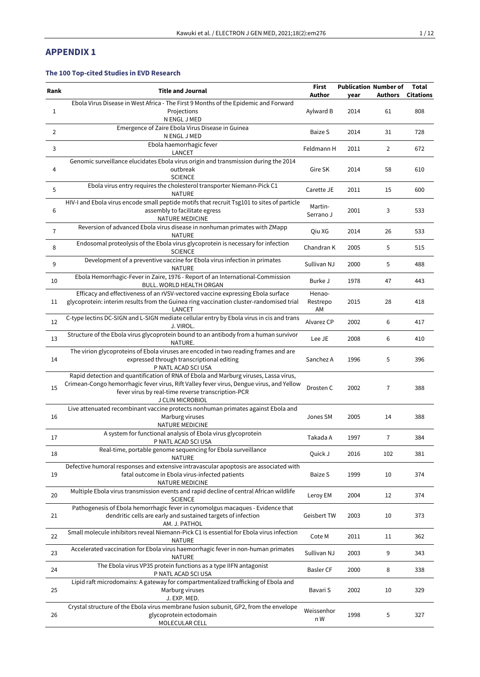## **APPENDIX 1**

### **The 100 Top-cited Studies in EVD Research**

| Rank           | <b>Title and Journal</b>                                                                                                                                                                                                                                   | First<br>Author          | <b>Publication Number of</b><br>year | Authors        | Total<br><b>Citations</b> |
|----------------|------------------------------------------------------------------------------------------------------------------------------------------------------------------------------------------------------------------------------------------------------------|--------------------------|--------------------------------------|----------------|---------------------------|
|                | Ebola Virus Disease in West Africa - The First 9 Months of the Epidemic and Forward                                                                                                                                                                        |                          |                                      |                |                           |
| $\mathbf{1}$   | Projections<br>N ENGL J MED                                                                                                                                                                                                                                | Aylward B                | 2014                                 | 61             | 808                       |
| $\overline{2}$ | Emergence of Zaire Ebola Virus Disease in Guinea<br>N ENGL J MED                                                                                                                                                                                           | Baize S                  | 2014                                 | 31             | 728                       |
| 3              | Ebola haemorrhagic fever<br>LANCET                                                                                                                                                                                                                         | Feldmann H               | 2011                                 | $\overline{2}$ | 672                       |
| 4              | Genomic surveillance elucidates Ebola virus origin and transmission during the 2014<br>outbreak<br><b>SCIENCE</b>                                                                                                                                          | Gire SK                  | 2014                                 | 58             | 610                       |
| 5              | Ebola virus entry requires the cholesterol transporter Niemann-Pick C1<br><b>NATURE</b>                                                                                                                                                                    | Carette JE               | 2011                                 | 15             | 600                       |
| 6              | HIV-I and Ebola virus encode small peptide motifs that recruit Tsg101 to sites of particle<br>assembly to facilitate egress<br><b>NATURE MEDICINE</b>                                                                                                      | Martin-<br>Serrano J     | 2001                                 | 3              | 533                       |
| $\overline{7}$ | Reversion of advanced Ebola virus disease in nonhuman primates with ZMapp<br><b>NATURE</b>                                                                                                                                                                 | Qiu XG                   | 2014                                 | 26             | 533                       |
| 8              | Endosomal proteolysis of the Ebola virus glycoprotein is necessary for infection<br><b>SCIENCE</b>                                                                                                                                                         | Chandran K               | 2005                                 | 5              | 515                       |
| 9              | Development of a preventive vaccine for Ebola virus infection in primates<br><b>NATURE</b>                                                                                                                                                                 | Sullivan NJ              | 2000                                 | 5              | 488                       |
| 10             | Ebola Hemorrhagic-Fever in Zaire, 1976 - Report of an International-Commission<br>BULL. WORLD HEALTH ORGAN                                                                                                                                                 | Burke J                  | 1978                                 | 47             | 443                       |
| 11             | Efficacy and effectiveness of an rVSV-vectored vaccine expressing Ebola surface<br>glycoprotein: interim results from the Guinea ring vaccination cluster-randomised trial<br><b>LANCET</b>                                                                | Henao-<br>Restrepo<br>AM | 2015                                 | 28             | 418                       |
| 12             | C-type lectins DC-SIGN and L-SIGN mediate cellular entry by Ebola virus in cis and trans<br>J. VIROL.                                                                                                                                                      | Alvarez CP               | 2002                                 | 6              | 417                       |
| 13             | Structure of the Ebola virus glycoprotein bound to an antibody from a human survivor<br>NATURE.                                                                                                                                                            | Lee JE                   | 2008                                 | 6              | 410                       |
| 14             | The virion glycoproteins of Ebola viruses are encoded in two reading frames and are<br>expressed through transcriptional editing<br>P NATL ACAD SCI USA                                                                                                    | Sanchez A                | 1996                                 | 5              | 396                       |
| 15             | Rapid detection and quantification of RNA of Ebola and Marburg viruses, Lassa virus,<br>Crimean-Congo hemorrhagic fever virus, Rift Valley fever virus, Dengue virus, and Yellow<br>fever virus by real-time reverse transcription-PCR<br>J CLIN MICROBIOL | Drosten C                | 2002                                 | 7              | 388                       |
| 16             | Live attenuated recombinant vaccine protects nonhuman primates against Ebola and<br>Marburg viruses<br><b>NATURE MEDICINE</b>                                                                                                                              | Jones SM                 | 2005                                 | 14             | 388                       |
| 17             | A system for functional analysis of Ebola virus glycoprotein<br>P NATL ACAD SCI USA                                                                                                                                                                        | Takada A                 | 1997                                 | 7              | 384                       |
| 18             | Real-time, portable genome sequencing for Ebola surveillance<br>NATURE                                                                                                                                                                                     | Quick J                  | 2016                                 | 102            | 381                       |
| 19             | Defective humoral responses and extensive intravascular apoptosis are associated with<br>fatal outcome in Ebola virus-infected patients<br>NATURE MEDICINE                                                                                                 | <b>Baize S</b>           | 1999                                 | 10             | 374                       |
| 20             | Multiple Ebola virus transmission events and rapid decline of central African wildlife<br><b>SCIENCE</b>                                                                                                                                                   | Leroy EM                 | 2004                                 | 12             | 374                       |
| 21             | Pathogenesis of Ebola hemorrhagic fever in cynomolgus macaques - Evidence that<br>dendritic cells are early and sustained targets of infection<br>AM. J. PATHOL                                                                                            | Geisbert TW              | 2003                                 | 10             | 373                       |
| 22             | Small molecule inhibitors reveal Niemann-Pick C1 is essential for Ebola virus infection<br>NATURE                                                                                                                                                          | Cote M                   | 2011                                 | 11             | 362                       |
| 23             | Accelerated vaccination for Ebola virus haemorrhagic fever in non-human primates<br>NATURE                                                                                                                                                                 | Sullivan NJ              | 2003                                 | 9              | 343                       |
| 24             | The Ebola virus VP35 protein functions as a type IIFN antagonist<br>P NATL ACAD SCI USA                                                                                                                                                                    | <b>Basler CF</b>         | 2000                                 | 8              | 338                       |
| 25             | Lipid raft microdomains: A gateway for compartmentalized trafficking of Ebola and<br>Marburg viruses<br>J. EXP. MED.                                                                                                                                       | Bavari S                 | 2002                                 | 10             | 329                       |
| 26             | Crystal structure of the Ebola virus membrane fusion subunit, GP2, from the envelope<br>glycoprotein ectodomain<br>MOLECULAR CELL                                                                                                                          | Weissenhor<br>n W        | 1998                                 | 5              | 327                       |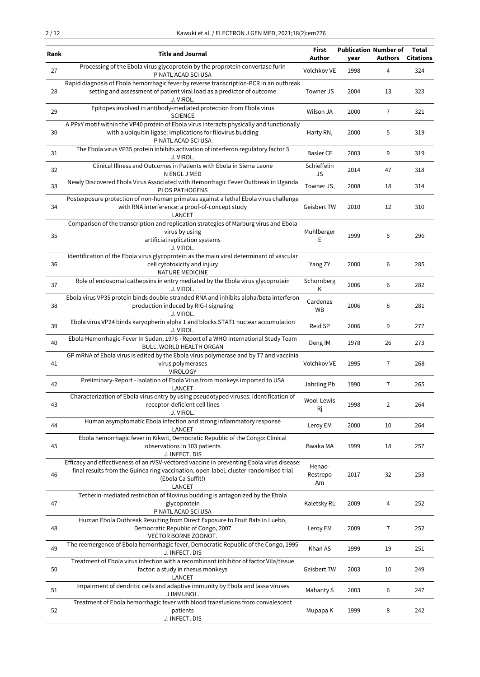| Rank | <b>Title and Journal</b>                                                                                                                                                                                          | First<br><b>Author</b>   | <b>Publication Number of</b><br>year | <b>Authors</b> | <b>Total</b><br><b>Citations</b> |
|------|-------------------------------------------------------------------------------------------------------------------------------------------------------------------------------------------------------------------|--------------------------|--------------------------------------|----------------|----------------------------------|
| 27   | Processing of the Ebola virus glycoprotein by the proprotein convertase furin<br>P NATL ACAD SCI USA                                                                                                              | Volchkov VE              | 1998                                 | 4              | 324                              |
| 28   | Rapid diagnosis of Ebola hemorrhagic fever by reverse transcription-PCR in an outbreak<br>setting and assessment of patient viral load as a predictor of outcome<br>J. VIROL.                                     | Towner JS                | 2004                                 | 13             | 323                              |
| 29   | Epitopes involved in antibody-mediated protection from Ebola virus<br><b>SCIENCE</b>                                                                                                                              | Wilson JA                | 2000                                 | 7              | 321                              |
| 30   | A PPxY motif within the VP40 protein of Ebola virus interacts physically and functionally<br>with a ubiquitin ligase: Implications for filovirus budding<br>P NATL ACAD SCI USA                                   | Harty RN,                | 2000                                 | 5              | 319                              |
| 31   | The Ebola virus VP35 protein inhibits activation of interferon regulatory factor 3<br>J. VIROL.                                                                                                                   | <b>Basler CF</b>         | 2003                                 | 9              | 319                              |
| 32   | Clinical Illness and Outcomes in Patients with Ebola in Sierra Leone<br>N ENGL J MED                                                                                                                              | Schieffelin<br>JS        | 2014                                 | 47             | 318                              |
| 33   | Newly Discovered Ebola Virus Associated with Hemorrhagic Fever Outbreak in Uganda<br><b>PLOS PATHOGENS</b>                                                                                                        | Towner JS,               | 2008                                 | 18             | 314                              |
| 34   | Postexposure protection of non-human primates against a lethal Ebola virus challenge<br>with RNA interference: a proof-of-concept study<br>LANCET                                                                 | Geisbert TW              | 2010                                 | 12             | 310                              |
| 35   | Comparison of the transcription and replication strategies of Marburg virus and Ebola<br>virus by using<br>artificial replication systems<br>J. VIROL.                                                            | Muhlberger<br>E          | 1999                                 | 5              | 296                              |
| 36   | Identification of the Ebola virus glycoprotein as the main viral determinant of vascular<br>cell cytotoxicity and injury<br><b>NATURE MEDICINE</b>                                                                | Yang ZY                  | 2000                                 | 6              | 285                              |
| 37   | Role of endosomal cathepsins in entry mediated by the Ebola virus glycoprotein<br>J. VIROL.                                                                                                                       | Schornberg<br>Κ          | 2006                                 | 6              | 282                              |
| 38   | Ebola virus VP35 protein binds double-stranded RNA and inhibits alpha/beta interferon<br>production induced by RIG-I signaling<br>J. VIROL.                                                                       | Cardenas<br>WB           | 2006                                 | 8              | 281                              |
| 39   | Ebola virus VP24 binds karyopherin alpha 1 and blocks STAT1 nuclear accumulation<br>J. VIROL.                                                                                                                     | Reid SP                  | 2006                                 | 9              | 277                              |
| 40   | Ebola Hemorrhagic-Fever In Sudan, 1976 - Report of a WHO International Study Team<br>BULL. WORLD HEALTH ORGAN                                                                                                     | Deng IM                  | 1978                                 | 26             | 273                              |
| 41   | GP mRNA of Ebola virus is edited by the Ebola virus polymerase and by T7 and vaccinia<br>virus polymerases<br><b>VIROLOGY</b>                                                                                     | Volchkov VE              | 1995                                 | 7              | 268                              |
| 42   | Preliminary-Report - Isolation of Ebola Virus from monkeys imported to USA<br>LANCET                                                                                                                              | Jahrling Pb              | 1990                                 | $\overline{7}$ | 265                              |
| 43   | Characterization of Ebola virus entry by using pseudotyped viruses: Identification of<br>receptor-deficient cell lines<br>J. VIROL.                                                                               | Wool-Lewis<br>Rj         | 1998                                 | 2              | 264                              |
| 44   | Human asymptomatic Ebola infection and strong inflammatory response<br>LANCET                                                                                                                                     | Leroy EM                 | 2000                                 | 10             | 264                              |
| 45   | Ebola hemorrhagic fever in Kikwit, Democratic Republic of the Congo: Clinical<br>observations in 103 patients<br>J. INFECT. DIS                                                                                   | Bwaka MA                 | 1999                                 | 18             | 257                              |
| 46   | Efficacy and effectiveness of an rVSV-vectored vaccine in preventing Ebola virus disease:<br>final results from the Guinea ring vaccination, open-label, cluster-randomised trial<br>(Ebola Ca Suffit!)<br>LANCET | Henao-<br>Restrepo<br>Am | 2017                                 | 32             | 253                              |
| 47   | Tetherin-mediated restriction of filovirus budding is antagonized by the Ebola<br>glycoprotein<br>P NATL ACAD SCI USA                                                                                             | Kaletsky RL              | 2009                                 | 4              | 252                              |
| 48   | Human Ebola Outbreak Resulting from Direct Exposure to Fruit Bats in Luebo,<br>Democratic Republic of Congo, 2007<br>VECTOR BORNE ZOONOT.                                                                         | Leroy EM                 | 2009                                 | 7              | 252                              |
| 49   | The reemergence of Ebola hemorrhagic fever, Democratic Republic of the Congo, 1995<br>J. INFECT. DIS                                                                                                              | Khan AS                  | 1999                                 | 19             | 251                              |
| 50   | Treatment of Ebola virus infection with a recombinant inhibitor of factor Vila/tissue<br>factor: a study in rhesus monkeys<br>LANCET                                                                              | Geisbert TW              | 2003                                 | 10             | 249                              |
| 51   | Impairment of dendritic cells and adaptive immunity by Ebola and lassa viruses<br>JIMMUNOL.                                                                                                                       | Mahanty S                | 2003                                 | 6              | 247                              |
| 52   | Treatment of Ebola hemorrhagic fever with blood transfusions from convalescent<br>patients<br>J. INFECT. DIS                                                                                                      | Mupapa K                 | 1999                                 | 8              | 242                              |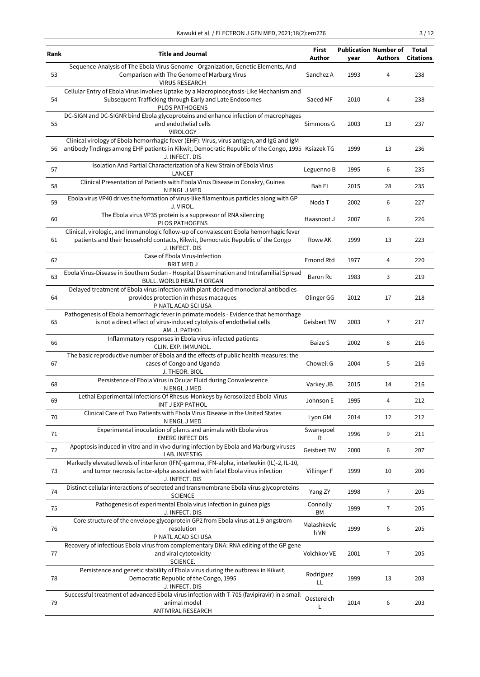| Rank | <b>Title and Journal</b>                                                                                                                                                                                         | First               | <b>Publication Number of</b> |                | Total            |
|------|------------------------------------------------------------------------------------------------------------------------------------------------------------------------------------------------------------------|---------------------|------------------------------|----------------|------------------|
|      |                                                                                                                                                                                                                  | Author              | year                         | Authors        | <b>Citations</b> |
| 53   | Sequence-Analysis of The Ebola Virus Genome - Organization, Genetic Elements, And<br>Comparison with The Genome of Marburg Virus<br><b>VIRUS RESEARCH</b>                                                        | Sanchez A           | 1993                         | 4              | 238              |
| 54   | Cellular Entry of Ebola Virus Involves Uptake by a Macropinocytosis-Like Mechanism and<br>Subsequent Trafficking through Early and Late Endosomes<br><b>PLOS PATHOGENS</b>                                       | Saeed MF            | 2010                         | 4              | 238              |
| 55   | DC-SIGN and DC-SIGNR bind Ebola glycoproteins and enhance infection of macrophages<br>and endothelial cells<br><b>VIROLOGY</b>                                                                                   | Simmons G           | 2003                         | 13             | 237              |
| 56   | Clinical virology of Ebola hemorrhagic fever (EHF): Virus, virus antigen, and IgG and IgM<br>antibody findings among EHF patients in Kikwit, Democratic Republic of the Congo, 1995 Ksiazek TG<br>J. INFECT. DIS |                     | 1999                         | 13             | 236              |
| 57   | Isolation And Partial Characterization of a New Strain of Ebola Virus<br>LANCET                                                                                                                                  | Leguenno B          | 1995                         | 6              | 235              |
| 58   | Clinical Presentation of Patients with Ebola Virus Disease in Conakry, Guinea<br>N ENGL J MED                                                                                                                    | Bah EI              | 2015                         | 28             | 235              |
| 59   | Ebola virus VP40 drives the formation of virus-like filamentous particles along with GP<br>J. VIROL.                                                                                                             | Noda T              | 2002                         | 6              | 227              |
| 60   | The Ebola virus VP35 protein is a suppressor of RNA silencing<br><b>PLOS PATHOGENS</b>                                                                                                                           | Haasnoot J          | 2007                         | 6              | 226              |
| 61   | Clinical, virologic, and immunologic follow-up of convalescent Ebola hemorrhagic fever<br>patients and their household contacts, Kikwit, Democratic Republic of the Congo<br>J. INFECT. DIS                      | Rowe AK             | 1999                         | 13             | 223              |
| 62   | Case of Ebola Virus-Infection<br><b>BRIT MED J</b>                                                                                                                                                               | <b>Emond Rtd</b>    | 1977                         | 4              | 220              |
| 63   | Ebola Virus-Disease in Southern Sudan - Hospital Dissemination and Intrafamilial Spread<br>BULL. WORLD HEALTH ORGAN                                                                                              | Baron Rc            | 1983                         | 3              | 219              |
| 64   | Delayed treatment of Ebola virus infection with plant-derived monoclonal antibodies<br>provides protection in rhesus macaques<br>P NATL ACAD SCI USA                                                             | Olinger GG          | 2012                         | 17             | 218              |
| 65   | Pathogenesis of Ebola hemorrhagic fever in primate models - Evidence that hemorrhage<br>is not a direct effect of virus-induced cytolysis of endothelial cells<br>AM. J. PATHOL                                  | Geisbert TW         | 2003                         | 7              | 217              |
| 66   | Inflammatory responses in Ebola virus-infected patients<br>CLIN. EXP. IMMUNOL.                                                                                                                                   | <b>Baize S</b>      | 2002                         | 8              | 216              |
| 67   | The basic reproductive number of Ebola and the effects of public health measures: the<br>cases of Congo and Uganda<br>J. THEOR. BIOL                                                                             | Chowell G           | 2004                         | 5              | 216              |
| 68   | Persistence of Ebola Virus in Ocular Fluid during Convalescence<br>N ENGL J MED                                                                                                                                  | Varkey JB           | 2015                         | 14             | 216              |
| 69   | Lethal Experimental Infections Of Rhesus-Monkeys by Aerosolized Ebola-Virus<br>INT J EXP PATHOL                                                                                                                  | Johnson E           | 1995                         | 4              | 212              |
| 70   | Clinical Care of Two Patients with Ebola Virus Disease in the United States<br>N ENGL J MED                                                                                                                      | Lyon GM             | 2014                         | 12             | 212              |
| 71   | Experimental inoculation of plants and animals with Ebola virus<br><b>EMERG INFECT DIS</b>                                                                                                                       | Swanepoel<br>R      | 1996                         | 9              | 211              |
| 72   | Apoptosis induced in vitro and in vivo during infection by Ebola and Marburg viruses<br>LAB. INVESTIG                                                                                                            | Geisbert TW         | 2000                         | 6              | 207              |
| 73   | Markedly elevated levels of interferon (IFN)-gamma, IFN-alpha, interleukin (IL)-2, IL-10,<br>and tumor necrosis factor-alpha associated with fatal Ebola virus infection<br>J. INFECT. DIS                       | Villinger F         | 1999                         | 10             | 206              |
| 74   | Distinct cellular interactions of secreted and transmembrane Ebola virus glycoproteins<br><b>SCIENCE</b>                                                                                                         | Yang ZY             | 1998                         | $\overline{7}$ | 205              |
| 75   | Pathogenesis of experimental Ebola virus infection in guinea pigs<br>J. INFECT. DIS                                                                                                                              | Connolly<br>BM      | 1999                         | 7              | 205              |
| 76   | Core structure of the envelope glycoprotein GP2 from Ebola virus at 1.9-angstrom<br>resolution<br>P NATL ACAD SCI USA                                                                                            | Malashkevic<br>h VN | 1999                         | 6              | 205              |
| 77   | Recovery of infectious Ebola virus from complementary DNA: RNA editing of the GP gene<br>and viral cytotoxicity<br>SCIENCE.                                                                                      | Volchkov VE         | 2001                         | 7              | 205              |
| 78   | Persistence and genetic stability of Ebola virus during the outbreak in Kikwit,<br>Democratic Republic of the Congo, 1995<br>J. INFECT. DIS                                                                      | Rodriguez<br>LL     | 1999                         | 13             | 203              |
| 79   | Successful treatment of advanced Ebola virus infection with T-705 (favipiravir) in a small<br>animal model<br>ANTIVIRAL RESEARCH                                                                                 | Oestereich<br>L     | 2014                         | 6              | 203              |